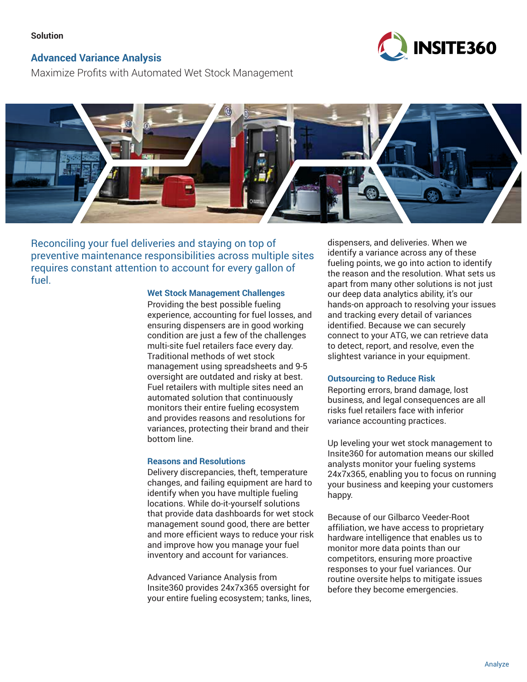### **Solution**

# **Advanced Variance Analysis**

**INSITE360** 

Maximize Profits with Automated Wet Stock Management



Reconciling your fuel deliveries and staying on top of preventive maintenance responsibilities across multiple sites requires constant attention to account for every gallon of fuel.

### **Wet Stock Management Challenges**

Providing the best possible fueling experience, accounting for fuel losses, and ensuring dispensers are in good working condition are just a few of the challenges multi-site fuel retailers face every day. Traditional methods of wet stock management using spreadsheets and 9-5 oversight are outdated and risky at best. Fuel retailers with multiple sites need an automated solution that continuously monitors their entire fueling ecosystem and provides reasons and resolutions for variances, protecting their brand and their bottom line.

#### **Reasons and Resolutions**

Delivery discrepancies, theft, temperature changes, and failing equipment are hard to identify when you have multiple fueling locations. While do-it-yourself solutions that provide data dashboards for wet stock management sound good, there are better and more efficient ways to reduce your risk and improve how you manage your fuel inventory and account for variances.

Advanced Variance Analysis from Insite360 provides 24x7x365 oversight for your entire fueling ecosystem; tanks, lines,

dispensers, and deliveries. When we identify a variance across any of these fueling points, we go into action to identify the reason and the resolution. What sets us apart from many other solutions is not just our deep data analytics ability, it's our hands-on approach to resolving your issues and tracking every detail of variances identified. Because we can securely connect to your ATG, we can retrieve data to detect, report, and resolve, even the slightest variance in your equipment.

## **Outsourcing to Reduce Risk**

Reporting errors, brand damage, lost business, and legal consequences are all risks fuel retailers face with inferior variance accounting practices.

Up leveling your wet stock management to Insite360 for automation means our skilled analysts monitor your fueling systems 24x7x365, enabling you to focus on running your business and keeping your customers happy.

Because of our Gilbarco Veeder-Root affiliation, we have access to proprietary hardware intelligence that enables us to monitor more data points than our competitors, ensuring more proactive responses to your fuel variances. Our routine oversite helps to mitigate issues before they become emergencies.